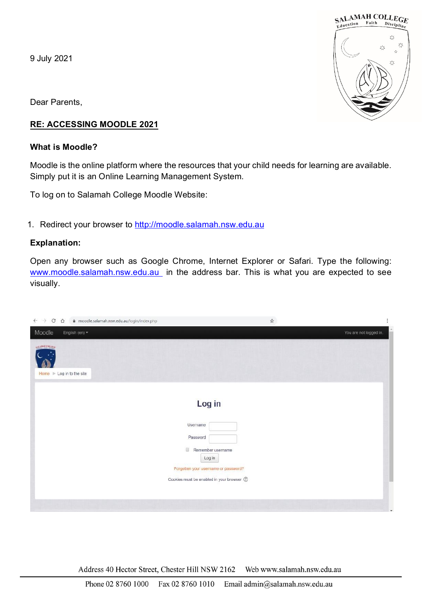9 July 2021



Dear Parents,

# **RE: ACCESSING MOODLE 2021**

### **What is Moodle?**

Moodle is the online platform where the resources that your child needs for learning are available. Simply put it is an Online Learning Management System.

To log on to Salamah College Moodle Website:

1. Redirect your browser to [http://moodle.salamah.nsw.edu.au](http://moodle.salamah.nsw.edu.au/)

### **Explanation:**

Open any browser such as Google Chrome, Internet Explorer or Safari. Type the following: [www.moodle.salamah.nsw.edu.au](http://www.moodle.salamah.nsw.edu.au/) in the address bar. This is what you are expected to see visually.

| $\mathcal{C}$<br>$\leftarrow$ $\rightarrow$<br>$\triangle$<br>moodle.salamah.nsw.edu.au/login/index.php | $\frac{1}{M}$                                                                                                                                                 | İ                      |
|---------------------------------------------------------------------------------------------------------|---------------------------------------------------------------------------------------------------------------------------------------------------------------|------------------------|
| Moodle<br>English (en) +                                                                                |                                                                                                                                                               | You are not logged in. |
| AN AMAID COLLEGE<br>Home I Log in to the site                                                           |                                                                                                                                                               |                        |
|                                                                                                         | Log in<br>Usemame<br>Password<br><b>B</b><br>Remember username<br>Log in<br>Forgotten your username or password?<br>Cookies must be enabled in your browser 2 |                        |
|                                                                                                         |                                                                                                                                                               | ٠                      |

Address 40 Hector Street, Chester Hill NSW 2162 Web www.salamah.nsw.edu.au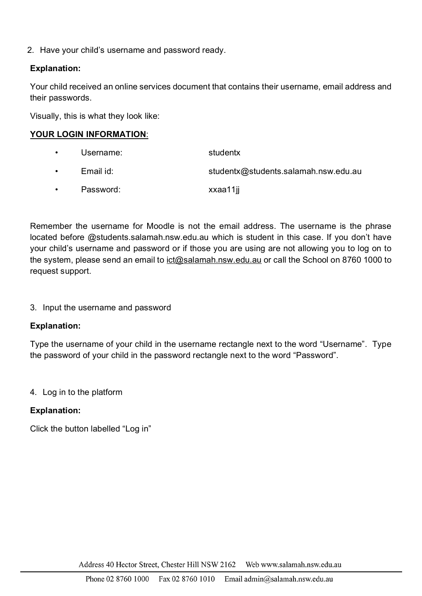2. Have your child's username and password ready.

## **Explanation:**

Your child received an online services document that contains their username, email address and their passwords.

Visually, this is what they look like:

### **YOUR LOGIN INFORMATION**:

Username: studentx • Email id: studentx@students.salamah.nsw.edu.au • Password: xxaa11jj

Remember the username for Moodle is not the email address. The username is the phrase located before @students.salamah.nsw.edu.au which is student in this case. If you don't have your child's username and password or if those you are using are not allowing you to log on to the system, please send an email to ict@salamah.nsw.edu.au or call the School on 8760 1000 to request support.

3. Input the username and password

#### **Explanation:**

Type the username of your child in the username rectangle next to the word "Username". Type the password of your child in the password rectangle next to the word "Password".

#### 4. Log in to the platform

#### **Explanation:**

Click the button labelled "Log in"

Address 40 Hector Street, Chester Hill NSW 2162 Web www.salamah.nsw.edu.au